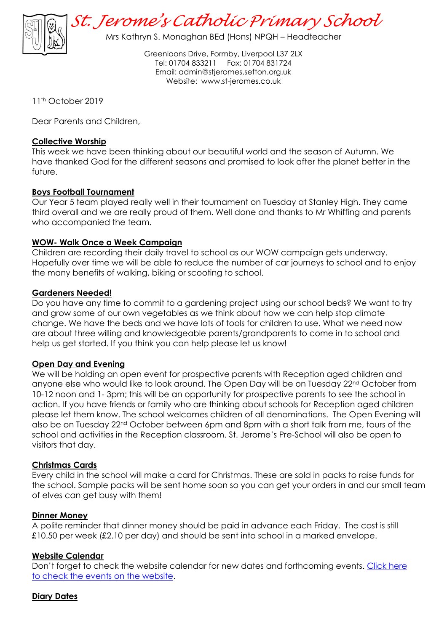

*St. Jerome's Catholic Primary School*

Mrs Kathryn S. Monaghan BEd (Hons) NPQH – Headteacher

Greenloons Drive, Formby, Liverpool L37 2LX Tel: 01704 833211 Fax: 01704 831724 Email: [admin@stjeromes.sefton.org.uk](mailto:admin.stjeromes@schools.sefton.gov.uk) Website: [www.st-jeromes.co.uk](http://www.st-jeromes.co.uk/)

11th October 2019

Dear Parents and Children,

### **Collective Worship**

This week we have been thinking about our beautiful world and the season of Autumn. We have thanked God for the different seasons and promised to look after the planet better in the future.

## **Boys Football Tournament**

Our Year 5 team played really well in their tournament on Tuesday at Stanley High. They came third overall and we are really proud of them. Well done and thanks to Mr Whiffing and parents who accompanied the team.

## **WOW- Walk Once a Week Campaign**

Children are recording their daily travel to school as our WOW campaign gets underway. Hopefully over time we will be able to reduce the number of car journeys to school and to enjoy the many benefits of walking, biking or scooting to school.

#### **Gardeners Needed!**

Do you have any time to commit to a gardening project using our school beds? We want to try and grow some of our own vegetables as we think about how we can help stop climate change. We have the beds and we have lots of tools for children to use. What we need now are about three willing and knowledgeable parents/grandparents to come in to school and help us get started. If you think you can help please let us know!

#### **Open Day and Evening**

We will be holding an open event for prospective parents with Reception aged children and anyone else who would like to look around. The Open Day will be on Tuesday 22<sup>nd</sup> October from 10-12 noon and 1- 3pm; this will be an opportunity for prospective parents to see the school in action. If you have friends or family who are thinking about schools for Reception aged children please let them know. The school welcomes children of all denominations. The Open Evening will also be on Tuesday 22<sup>nd</sup> October between 6pm and 8pm with a short talk from me, tours of the school and activities in the Reception classroom. St. Jerome's Pre-School will also be open to visitors that day.

#### **Christmas Cards**

Every child in the school will make a card for Christmas. These are sold in packs to raise funds for the school. Sample packs will be sent home soon so you can get your orders in and our small team of elves can get busy with them!

#### **Dinner Money**

A polite reminder that dinner money should be paid in advance each Friday. The cost is still £10.50 per week (£2.10 per day) and should be sent into school in a marked envelope.

# **Website Calendar**

Don't forget to check the website calendar for new dates and forthcoming events. Click here [to check the events on the website.](http://www.st-jeromes.co.uk/events)

# **Diary Dates**